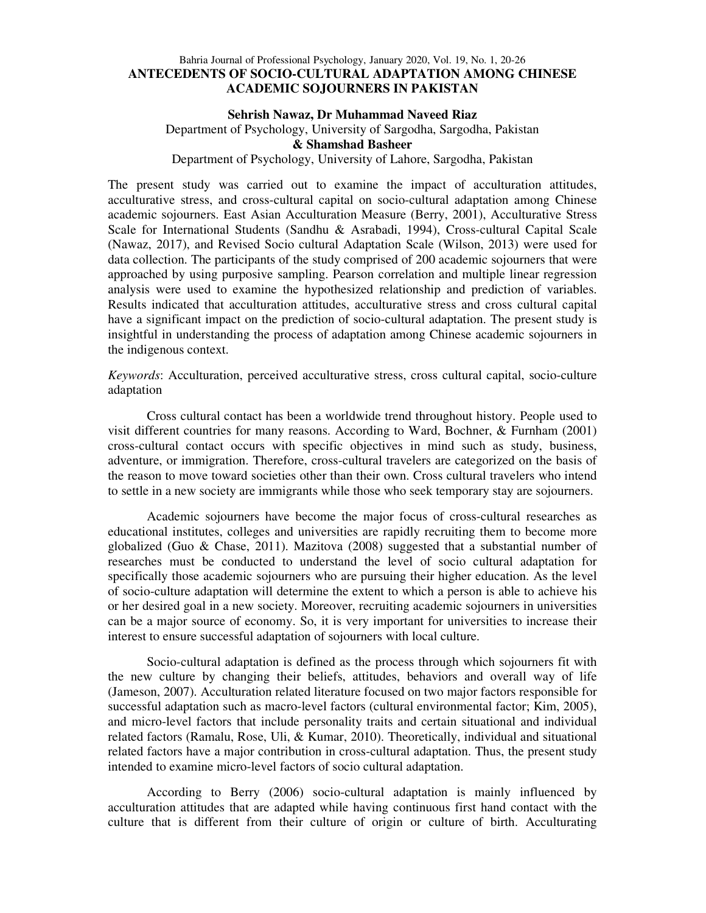# Bahria Journal of Professional Psychology, January 2020, Vol. 19, No. 1, 20-26 **ANTECEDENTS OF SOCIO-CULTURAL ADAPTATION AMONG CHINESE ACADEMIC SOJOURNERS IN PAKISTAN**

### **Sehrish Nawaz, Dr Muhammad Naveed Riaz**

Department of Psychology, University of Sargodha, Sargodha, Pakistan

# **& Shamshad Basheer**

# Department of Psychology, University of Lahore, Sargodha, Pakistan

The present study was carried out to examine the impact of acculturation attitudes, acculturative stress, and cross-cultural capital on socio-cultural adaptation among Chinese academic sojourners. East Asian Acculturation Measure (Berry, 2001), Acculturative Stress Scale for International Students (Sandhu & Asrabadi, 1994), Cross-cultural Capital Scale (Nawaz, 2017), and Revised Socio cultural Adaptation Scale (Wilson, 2013) were used for data collection. The participants of the study comprised of 200 academic sojourners that were approached by using purposive sampling. Pearson correlation and multiple linear regression analysis were used to examine the hypothesized relationship and prediction of variables. Results indicated that acculturation attitudes, acculturative stress and cross cultural capital have a significant impact on the prediction of socio-cultural adaptation. The present study is insightful in understanding the process of adaptation among Chinese academic sojourners in the indigenous context.

*Keywords*: Acculturation, perceived acculturative stress, cross cultural capital, socio-culture adaptation

Cross cultural contact has been a worldwide trend throughout history. People used to visit different countries for many reasons. According to Ward, Bochner, & Furnham (2001) cross-cultural contact occurs with specific objectives in mind such as study, business, adventure, or immigration. Therefore, cross-cultural travelers are categorized on the basis of the reason to move toward societies other than their own. Cross cultural travelers who intend to settle in a new society are immigrants while those who seek temporary stay are sojourners.

Academic sojourners have become the major focus of cross-cultural researches as educational institutes, colleges and universities are rapidly recruiting them to become more globalized (Guo & Chase, 2011). Mazitova (2008) suggested that a substantial number of researches must be conducted to understand the level of socio cultural adaptation for specifically those academic sojourners who are pursuing their higher education. As the level of socio-culture adaptation will determine the extent to which a person is able to achieve his or her desired goal in a new society. Moreover, recruiting academic sojourners in universities can be a major source of economy. So, it is very important for universities to increase their interest to ensure successful adaptation of sojourners with local culture.

Socio-cultural adaptation is defined as the process through which sojourners fit with the new culture by changing their beliefs, attitudes, behaviors and overall way of life (Jameson, 2007). Acculturation related literature focused on two major factors responsible for successful adaptation such as macro-level factors (cultural environmental factor; Kim, 2005), and micro-level factors that include personality traits and certain situational and individual related factors (Ramalu, Rose, Uli, & Kumar, 2010). Theoretically, individual and situational related factors have a major contribution in cross-cultural adaptation. Thus, the present study intended to examine micro-level factors of socio cultural adaptation.

According to Berry (2006) socio-cultural adaptation is mainly influenced by acculturation attitudes that are adapted while having continuous first hand contact with the culture that is different from their culture of origin or culture of birth. Acculturating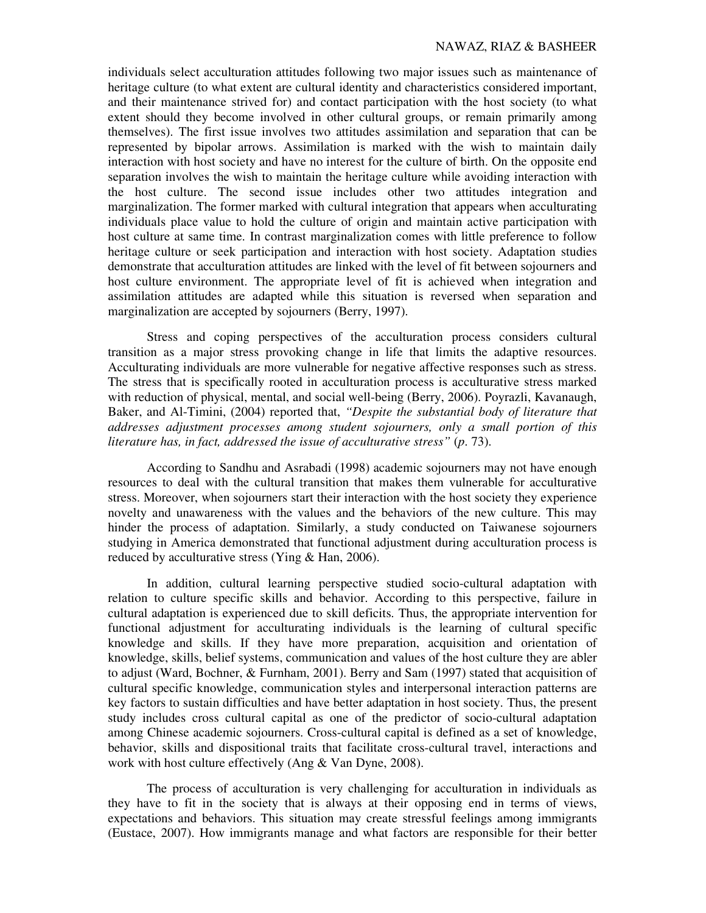#### NAWAZ, RIAZ & BASHEER

individuals select acculturation attitudes following two major issues such as maintenance of heritage culture (to what extent are cultural identity and characteristics considered important, and their maintenance strived for) and contact participation with the host society (to what extent should they become involved in other cultural groups, or remain primarily among themselves). The first issue involves two attitudes assimilation and separation that can be represented by bipolar arrows. Assimilation is marked with the wish to maintain daily interaction with host society and have no interest for the culture of birth. On the opposite end separation involves the wish to maintain the heritage culture while avoiding interaction with the host culture. The second issue includes other two attitudes integration and marginalization. The former marked with cultural integration that appears when acculturating individuals place value to hold the culture of origin and maintain active participation with host culture at same time. In contrast marginalization comes with little preference to follow heritage culture or seek participation and interaction with host society. Adaptation studies demonstrate that acculturation attitudes are linked with the level of fit between sojourners and host culture environment. The appropriate level of fit is achieved when integration and assimilation attitudes are adapted while this situation is reversed when separation and marginalization are accepted by sojourners (Berry, 1997).

Stress and coping perspectives of the acculturation process considers cultural transition as a major stress provoking change in life that limits the adaptive resources. Acculturating individuals are more vulnerable for negative affective responses such as stress. The stress that is specifically rooted in acculturation process is acculturative stress marked with reduction of physical, mental, and social well-being (Berry, 2006). Poyrazli, Kavanaugh, Baker, and Al-Timini, (2004) reported that, *"Despite the substantial body of literature that addresses adjustment processes among student sojourners, only a small portion of this literature has, in fact, addressed the issue of acculturative stress"* (*p*. 73).

According to Sandhu and Asrabadi (1998) academic sojourners may not have enough resources to deal with the cultural transition that makes them vulnerable for acculturative stress. Moreover, when sojourners start their interaction with the host society they experience novelty and unawareness with the values and the behaviors of the new culture. This may hinder the process of adaptation. Similarly, a study conducted on Taiwanese sojourners studying in America demonstrated that functional adjustment during acculturation process is reduced by acculturative stress (Ying & Han, 2006).

In addition, cultural learning perspective studied socio-cultural adaptation with relation to culture specific skills and behavior. According to this perspective, failure in cultural adaptation is experienced due to skill deficits. Thus, the appropriate intervention for functional adjustment for acculturating individuals is the learning of cultural specific knowledge and skills. If they have more preparation, acquisition and orientation of knowledge, skills, belief systems, communication and values of the host culture they are abler to adjust (Ward, Bochner, & Furnham, 2001). Berry and Sam (1997) stated that acquisition of cultural specific knowledge, communication styles and interpersonal interaction patterns are key factors to sustain difficulties and have better adaptation in host society. Thus, the present study includes cross cultural capital as one of the predictor of socio-cultural adaptation among Chinese academic sojourners. Cross-cultural capital is defined as a set of knowledge, behavior, skills and dispositional traits that facilitate cross-cultural travel, interactions and work with host culture effectively (Ang & Van Dyne, 2008).

The process of acculturation is very challenging for acculturation in individuals as they have to fit in the society that is always at their opposing end in terms of views, expectations and behaviors. This situation may create stressful feelings among immigrants (Eustace, 2007). How immigrants manage and what factors are responsible for their better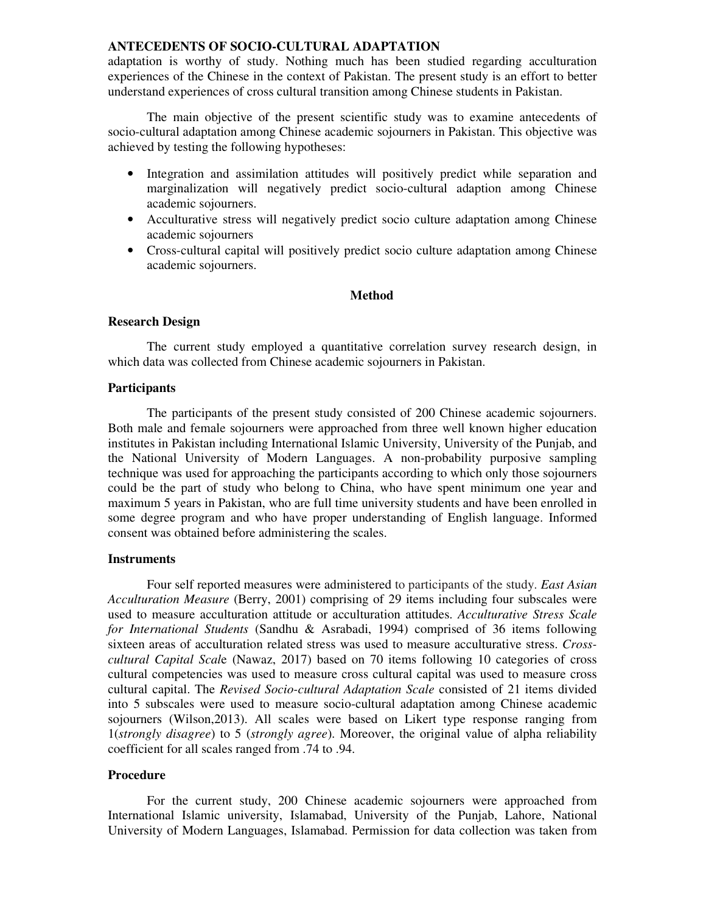# **ANTECEDENTS OF SOCIO-CULTURAL ADAPTATION**

adaptation is worthy of study. Nothing much has been studied regarding acculturation experiences of the Chinese in the context of Pakistan. The present study is an effort to better understand experiences of cross cultural transition among Chinese students in Pakistan.

The main objective of the present scientific study was to examine antecedents of socio-cultural adaptation among Chinese academic sojourners in Pakistan. This objective was achieved by testing the following hypotheses:

- Integration and assimilation attitudes will positively predict while separation and marginalization will negatively predict socio-cultural adaption among Chinese academic sojourners.
- Acculturative stress will negatively predict socio culture adaptation among Chinese academic sojourners
- Cross-cultural capital will positively predict socio culture adaptation among Chinese academic sojourners.

# **Method**

#### **Research Design**

The current study employed a quantitative correlation survey research design, in which data was collected from Chinese academic sojourners in Pakistan.

### **Participants**

The participants of the present study consisted of 200 Chinese academic sojourners. Both male and female sojourners were approached from three well known higher education institutes in Pakistan including International Islamic University, University of the Punjab, and the National University of Modern Languages. A non-probability purposive sampling technique was used for approaching the participants according to which only those sojourners could be the part of study who belong to China, who have spent minimum one year and maximum 5 years in Pakistan, who are full time university students and have been enrolled in some degree program and who have proper understanding of English language. Informed consent was obtained before administering the scales.

#### **Instruments**

Four self reported measures were administered to participants of the study. *East Asian Acculturation Measure* (Berry, 2001) comprising of 29 items including four subscales were used to measure acculturation attitude or acculturation attitudes. *Acculturative Stress Scale for International Students* (Sandhu & Asrabadi, 1994) comprised of 36 items following sixteen areas of acculturation related stress was used to measure acculturative stress. *Crosscultural Capital Scal*e (Nawaz, 2017) based on 70 items following 10 categories of cross cultural competencies was used to measure cross cultural capital was used to measure cross cultural capital. The *Revised Socio-cultural Adaptation Scale* consisted of 21 items divided into 5 subscales were used to measure socio-cultural adaptation among Chinese academic sojourners (Wilson,2013). All scales were based on Likert type response ranging from 1(*strongly disagree*) to 5 (*strongly agree*). Moreover, the original value of alpha reliability coefficient for all scales ranged from .74 to .94.

# **Procedure**

For the current study, 200 Chinese academic sojourners were approached from International Islamic university, Islamabad, University of the Punjab, Lahore, National University of Modern Languages, Islamabad. Permission for data collection was taken from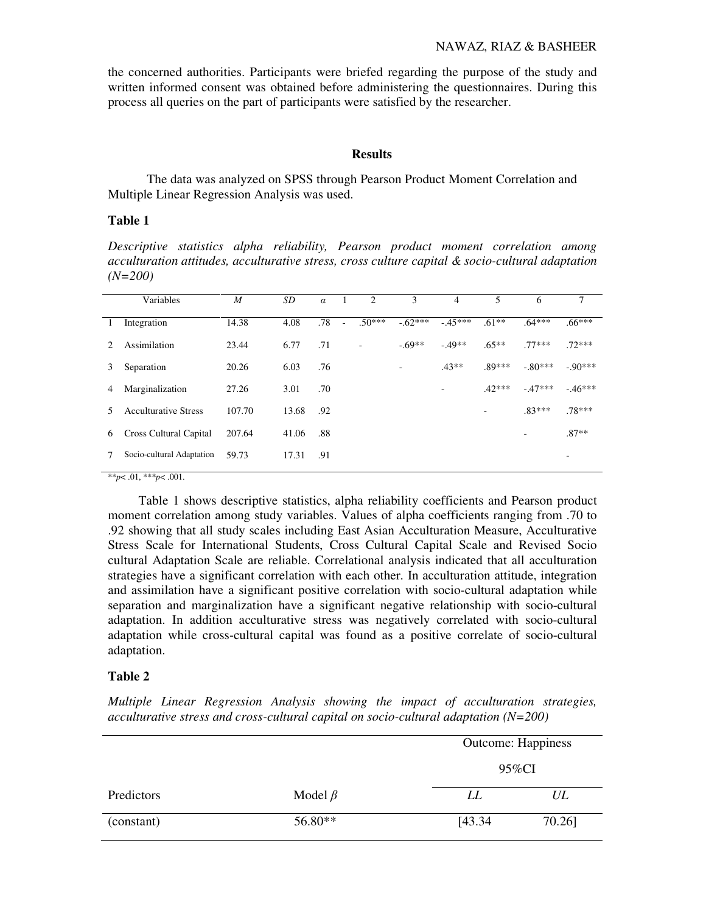the concerned authorities. Participants were briefed regarding the purpose of the study and written informed consent was obtained before administering the questionnaires. During this process all queries on the part of participants were satisfied by the researcher.

## **Results**

The data was analyzed on SPSS through Pearson Product Moment Correlation and Multiple Linear Regression Analysis was used.

### **Table 1**

*Descriptive statistics alpha reliability, Pearson product moment correlation among acculturation attitudes, acculturative stress, cross culture capital & socio-cultural adaptation (N=200)* 

|                             | Variables                   | M      | SD    | $\alpha$ | $\blacksquare$ | $\overline{2}$ | 3                        | 4        | 5        | 6         | 7        |
|-----------------------------|-----------------------------|--------|-------|----------|----------------|----------------|--------------------------|----------|----------|-----------|----------|
|                             | Integration                 | 14.38  | 4.08  | .78      | $\sim$         | $.50***$       | $-62***$                 | $-45***$ | $.61**$  | $.64***$  | $.66***$ |
| $\mathcal{D}_{\mathcal{L}}$ | Assimilation                | 23.44  | 6.77  | .71      |                |                | $-69**$                  | $-49**$  | $.65**$  | $.77***$  | $72***$  |
| 3                           | Separation                  | 20.26  | 6.03  | .76      |                |                | $\overline{\phantom{a}}$ | $.43**$  | $.89***$ | $-.80***$ | $-90***$ |
| 4                           | Marginalization             | 27.26  | 3.01  | .70      |                |                |                          | ۰        | $.42***$ | $-47***$  | $-46***$ |
|                             | <b>Acculturative Stress</b> | 107.70 | 13.68 | .92      |                |                |                          |          | ۰        | $.83***$  | .78***   |
| 6                           | Cross Cultural Capital      | 207.64 | 41.06 | .88      |                |                |                          |          |          |           | $.87**$  |
|                             | Socio-cultural Adaptation   | 59.73  | 17.31 | .91      |                |                |                          |          |          |           | ۰        |
|                             |                             |        |       |          |                |                |                          |          |          |           |          |

\*\**p*< .01, \*\*\**p*< .001.

Table 1 shows descriptive statistics, alpha reliability coefficients and Pearson product moment correlation among study variables. Values of alpha coefficients ranging from .70 to .92 showing that all study scales including East Asian Acculturation Measure, Acculturative Stress Scale for International Students, Cross Cultural Capital Scale and Revised Socio cultural Adaptation Scale are reliable. Correlational analysis indicated that all acculturation strategies have a significant correlation with each other. In acculturation attitude, integration and assimilation have a significant positive correlation with socio-cultural adaptation while separation and marginalization have a significant negative relationship with socio-cultural adaptation. In addition acculturative stress was negatively correlated with socio-cultural adaptation while cross-cultural capital was found as a positive correlate of socio-cultural adaptation.

#### **Table 2**

*Multiple Linear Regression Analysis showing the impact of acculturation strategies, acculturative stress and cross-cultural capital on socio-cultural adaptation (N=200)* 

|            |               | <b>Outcome: Happiness</b> |        |  |
|------------|---------------|---------------------------|--------|--|
|            |               | 95%CI                     |        |  |
| Predictors | Model $\beta$ | LL                        | UL     |  |
| (constant) | 56.80**       | [43.34]                   | 70.26] |  |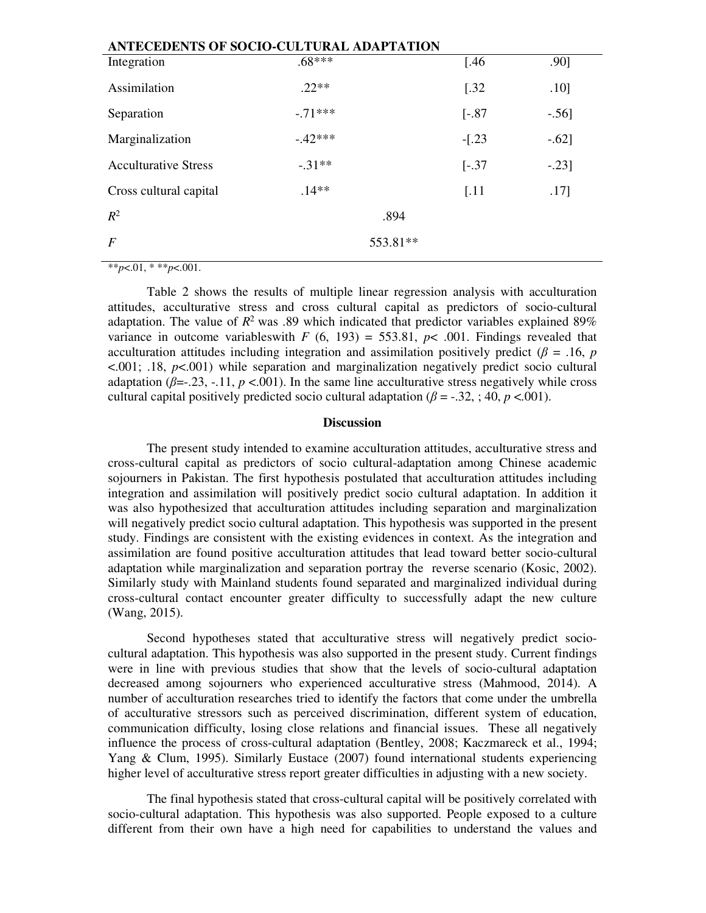| ANTECEDENTS OF SOCIO-CULTURAL ADAPTATION |           |          |                      |         |  |  |
|------------------------------------------|-----------|----------|----------------------|---------|--|--|
| Integration                              | $.68***$  |          | $[.46]$              | .90]    |  |  |
| Assimilation                             | $22**$    |          | $[.32]$              | .10]    |  |  |
| Separation                               | $-.71***$ |          | $[-.87]$             | $-.56]$ |  |  |
| Marginalization                          | $-42***$  |          | $-[.23]$             | $-.62]$ |  |  |
| <b>Acculturative Stress</b>              | $-31**$   |          | $[-.37]$             | $-.23]$ |  |  |
| Cross cultural capital                   | $.14**$   |          | $\left[ .11 \right]$ | .17]    |  |  |
| $R^2$                                    |           | .894     |                      |         |  |  |
| $\boldsymbol{F}$                         |           | 553.81** |                      |         |  |  |

 $*$ *\*p*<.01, \* \*\**p*<.001.

Table 2 shows the results of multiple linear regression analysis with acculturation attitudes, acculturative stress and cross cultural capital as predictors of socio-cultural adaptation. The value of  $R^2$  was .89 which indicated that predictor variables explained 89% variance in outcome variables with  $F (6, 193) = 553.81$ ,  $p < .001$ . Findings revealed that acculturation attitudes including integration and assimilation positively predict ( $\beta$  = .16, *p* <.001; .18, *p*<.001) while separation and marginalization negatively predict socio cultural adaptation ( $\beta = -23, -11, p < 001$ ). In the same line acculturative stress negatively while cross cultural capital positively predicted socio cultural adaptation ( $\beta$  = -.32, ; 40, *p* <.001).

#### **Discussion**

The present study intended to examine acculturation attitudes, acculturative stress and cross-cultural capital as predictors of socio cultural-adaptation among Chinese academic sojourners in Pakistan. The first hypothesis postulated that acculturation attitudes including integration and assimilation will positively predict socio cultural adaptation. In addition it was also hypothesized that acculturation attitudes including separation and marginalization will negatively predict socio cultural adaptation. This hypothesis was supported in the present study. Findings are consistent with the existing evidences in context. As the integration and assimilation are found positive acculturation attitudes that lead toward better socio-cultural adaptation while marginalization and separation portray the reverse scenario (Kosic, 2002). Similarly study with Mainland students found separated and marginalized individual during cross-cultural contact encounter greater difficulty to successfully adapt the new culture (Wang, 2015).

Second hypotheses stated that acculturative stress will negatively predict sociocultural adaptation. This hypothesis was also supported in the present study. Current findings were in line with previous studies that show that the levels of socio-cultural adaptation decreased among sojourners who experienced acculturative stress (Mahmood, 2014). A number of acculturation researches tried to identify the factors that come under the umbrella of acculturative stressors such as perceived discrimination, different system of education, communication difficulty, losing close relations and financial issues. These all negatively influence the process of cross-cultural adaptation (Bentley, 2008; Kaczmareck et al., 1994; Yang & Clum, 1995). Similarly Eustace (2007) found international students experiencing higher level of acculturative stress report greater difficulties in adjusting with a new society.

The final hypothesis stated that cross-cultural capital will be positively correlated with socio-cultural adaptation. This hypothesis was also supported. People exposed to a culture different from their own have a high need for capabilities to understand the values and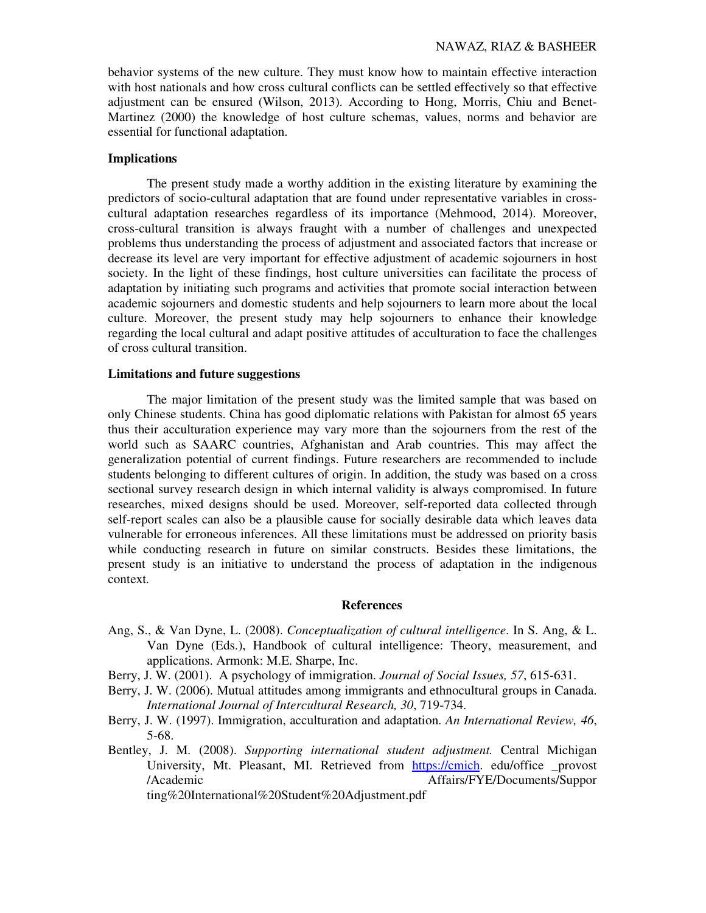behavior systems of the new culture. They must know how to maintain effective interaction with host nationals and how cross cultural conflicts can be settled effectively so that effective adjustment can be ensured (Wilson, 2013). According to Hong, Morris, Chiu and Benet-Martinez (2000) the knowledge of host culture schemas, values, norms and behavior are essential for functional adaptation.

# **Implications**

The present study made a worthy addition in the existing literature by examining the predictors of socio-cultural adaptation that are found under representative variables in crosscultural adaptation researches regardless of its importance (Mehmood, 2014). Moreover, cross-cultural transition is always fraught with a number of challenges and unexpected problems thus understanding the process of adjustment and associated factors that increase or decrease its level are very important for effective adjustment of academic sojourners in host society. In the light of these findings, host culture universities can facilitate the process of adaptation by initiating such programs and activities that promote social interaction between academic sojourners and domestic students and help sojourners to learn more about the local culture. Moreover, the present study may help sojourners to enhance their knowledge regarding the local cultural and adapt positive attitudes of acculturation to face the challenges of cross cultural transition.

#### **Limitations and future suggestions**

The major limitation of the present study was the limited sample that was based on only Chinese students. China has good diplomatic relations with Pakistan for almost 65 years thus their acculturation experience may vary more than the sojourners from the rest of the world such as SAARC countries, Afghanistan and Arab countries. This may affect the generalization potential of current findings. Future researchers are recommended to include students belonging to different cultures of origin. In addition, the study was based on a cross sectional survey research design in which internal validity is always compromised. In future researches, mixed designs should be used. Moreover, self-reported data collected through self-report scales can also be a plausible cause for socially desirable data which leaves data vulnerable for erroneous inferences. All these limitations must be addressed on priority basis while conducting research in future on similar constructs. Besides these limitations, the present study is an initiative to understand the process of adaptation in the indigenous context.

#### **References**

- Ang, S., & Van Dyne, L. (2008). *Conceptualization of cultural intelligence*. In S. Ang, & L. Van Dyne (Eds.), Handbook of cultural intelligence: Theory, measurement, and applications. Armonk: M.E. Sharpe, Inc.
- Berry, J. W. (2001). A psychology of immigration. *Journal of Social Issues, 57*, 615-631.
- Berry, J. W. (2006). Mutual attitudes among immigrants and ethnocultural groups in Canada. *International Journal of Intercultural Research, 30*, 719-734.
- Berry, J. W. (1997). Immigration, acculturation and adaptation. *An International Review, 46*, 5-68.
- Bentley, J. M. (2008). *Supporting international student adjustment.* Central Michigan University, Mt. Pleasant, MI. Retrieved from https://cmich. edu/office \_provost /Academic Affairs/FYE/Documents/Suppor ting%20International%20Student%20Adjustment.pdf